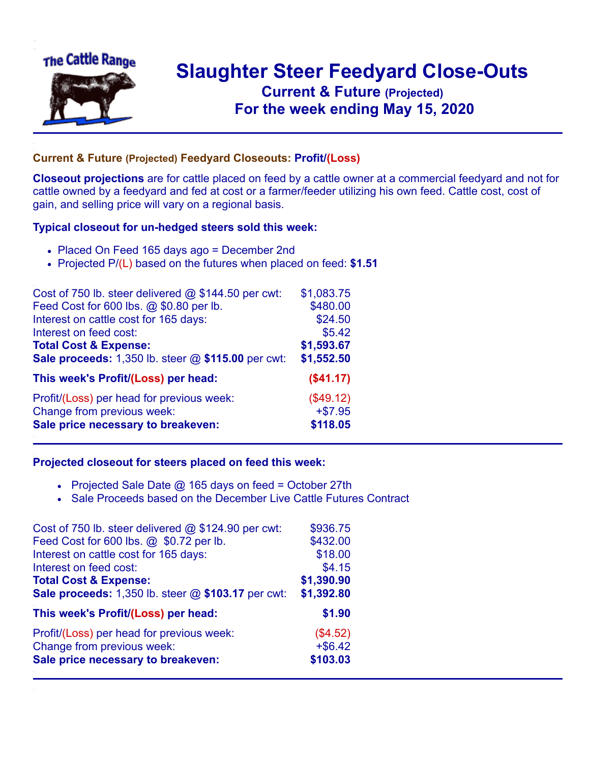

## **Slaughter Steer Feedyard Close-Outs Current & Future (Projected)** .**For the week ending May 15, 2020**

## **Current & Future (Projected) Feedyard Closeouts: Profit/(Loss)**

**Closeout projections** are for cattle placed on feed by a cattle owner at a commercial feedyard and not for cattle owned by a feedyard and fed at cost or a farmer/feeder utilizing his own feed. Cattle cost, cost of gain, and selling price will vary on a regional basis.

## **Typical closeout for un-hedged steers sold this week:**

- Placed On Feed 165 days ago = December 2nd
- Projected P/(L) based on the futures when placed on feed: **\$1.51**

| Cost of 750 lb. steer delivered $@$ \$144.50 per cwt: | \$1,083.75 |
|-------------------------------------------------------|------------|
| Feed Cost for 600 lbs. @ \$0.80 per lb.               | \$480.00   |
| Interest on cattle cost for 165 days:                 | \$24.50    |
| Interest on feed cost:                                | \$5.42     |
| <b>Total Cost &amp; Expense:</b>                      | \$1,593.67 |
| Sale proceeds: 1,350 lb. steer @ \$115.00 per cwt:    | \$1,552.50 |
| This week's Profit/(Loss) per head:                   | (\$41.17)  |
| Profit/(Loss) per head for previous week:             | (\$49.12)  |
| Change from previous week:                            | $+ $7.95$  |
| Sale price necessary to breakeven:                    | \$118.05   |

## **Projected closeout for steers placed on feed this week:**

- Projected Sale Date  $@$  165 days on feed = October 27th
- Sale Proceeds based on the December Live Cattle Futures Contract

| Cost of 750 lb. steer delivered @ \$124.90 per cwt: | \$936.75   |
|-----------------------------------------------------|------------|
| Feed Cost for 600 lbs. @ \$0.72 per lb.             | \$432.00   |
| Interest on cattle cost for 165 days:               | \$18.00    |
| Interest on feed cost:                              | \$4.15     |
| <b>Total Cost &amp; Expense:</b>                    | \$1,390.90 |
| Sale proceeds: 1,350 lb. steer @ \$103.17 per cwt:  | \$1,392.80 |
| This week's Profit/(Loss) per head:                 | \$1.90     |
| Profit/(Loss) per head for previous week:           | (\$4.52)   |
| Change from previous week:                          | $+$ \$6.42 |
| Sale price necessary to breakeven:                  | \$103.03   |
|                                                     |            |